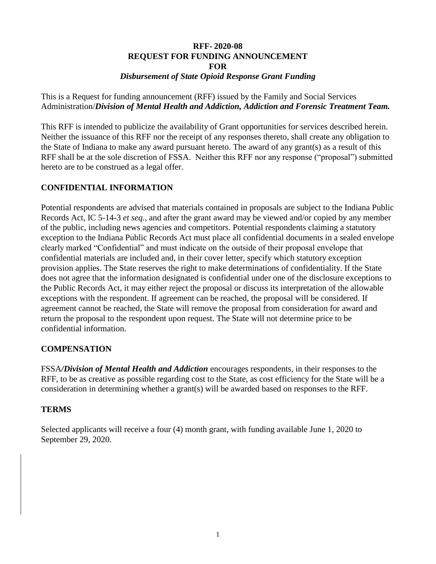### **RFF- 2020-08 REQUEST FOR FUNDING ANNOUNCEMENT FOR** *Disbursement of State Opioid Response Grant Funding*

This is a Request for funding announcement (RFF) issued by the Family and Social Services Administration/*Division of Mental Health and Addiction, Addiction and Forensic Treatment Team.*

This RFF is intended to publicize the availability of Grant opportunities for services described herein. Neither the issuance of this RFF nor the receipt of any responses thereto, shall create any obligation to the State of Indiana to make any award pursuant hereto. The award of any grant(s) as a result of this RFF shall be at the sole discretion of FSSA. Neither this RFF nor any response ("proposal") submitted hereto are to be construed as a legal offer.

## **CONFIDENTIAL INFORMATION**

Potential respondents are advised that materials contained in proposals are subject to the Indiana Public Records Act, IC 5-14-3 *et seq.*, and after the grant award may be viewed and/or copied by any member of the public, including news agencies and competitors. Potential respondents claiming a statutory exception to the Indiana Public Records Act must place all confidential documents in a sealed envelope clearly marked "Confidential" and must indicate on the outside of their proposal envelope that confidential materials are included and, in their cover letter, specify which statutory exception provision applies. The State reserves the right to make determinations of confidentiality. If the State does not agree that the information designated is confidential under one of the disclosure exceptions to the Public Records Act, it may either reject the proposal or discuss its interpretation of the allowable exceptions with the respondent. If agreement can be reached, the proposal will be considered. If agreement cannot be reached, the State will remove the proposal from consideration for award and return the proposal to the respondent upon request. The State will not determine price to be confidential information.

### **COMPENSATION**

FSSA*/Division of Mental Health and Addiction* encourages respondents, in their responses to the RFF, to be as creative as possible regarding cost to the State, as cost efficiency for the State will be a consideration in determining whether a grant(s) will be awarded based on responses to the RFF.

### **TERMS**

Selected applicants will receive a four (4) month grant, with funding available June 1, 2020 to September 29, 2020.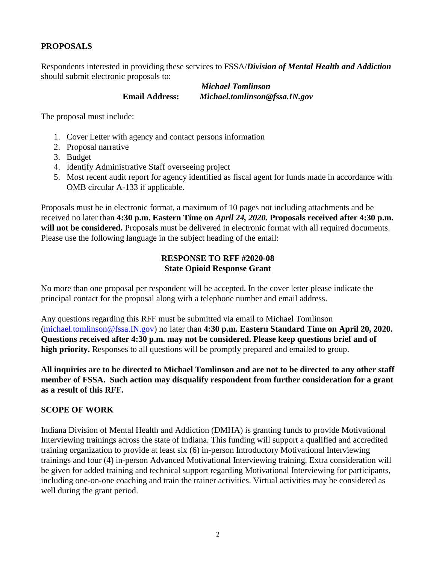### **PROPOSALS**

Respondents interested in providing these services to FSSA/*Division of Mental Health and Addiction* should submit electronic proposals to:

> *Michael Tomlinson* **Email Address:** *Michael.tomlinson@fssa.IN.gov*

The proposal must include:

- 1. Cover Letter with agency and contact persons information
- 2. Proposal narrative
- 3. Budget
- 4. Identify Administrative Staff overseeing project
- 5. Most recent audit report for agency identified as fiscal agent for funds made in accordance with OMB circular A-133 if applicable.

Proposals must be in electronic format, a maximum of 10 pages not including attachments and be received no later than **4:30 p.m. Eastern Time on** *April 24, 2020***. Proposals received after 4:30 p.m. will not be considered.** Proposals must be delivered in electronic format with all required documents. Please use the following language in the subject heading of the email:

### **RESPONSE TO RFF #2020-08 State Opioid Response Grant**

No more than one proposal per respondent will be accepted. In the cover letter please indicate the principal contact for the proposal along with a telephone number and email address.

Any questions regarding this RFF must be submitted via email to Michael Tomlinson [\(michael.tomlinson@fssa.IN.gov\)](mailto:michael.tomlinson@fssa.IN.gov) no later than **4:30 p.m. Eastern Standard Time on April 20, 2020. Questions received after 4:30 p.m. may not be considered. Please keep questions brief and of high priority.** Responses to all questions will be promptly prepared and emailed to group.

**All inquiries are to be directed to Michael Tomlinson and are not to be directed to any other staff member of FSSA. Such action may disqualify respondent from further consideration for a grant as a result of this RFF.**

#### **SCOPE OF WORK**

Indiana Division of Mental Health and Addiction (DMHA) is granting funds to provide Motivational Interviewing trainings across the state of Indiana. This funding will support a qualified and accredited training organization to provide at least six (6) in-person Introductory Motivational Interviewing trainings and four (4) in-person Advanced Motivational Interviewing training. Extra consideration will be given for added training and technical support regarding Motivational Interviewing for participants, including one-on-one coaching and train the trainer activities. Virtual activities may be considered as well during the grant period.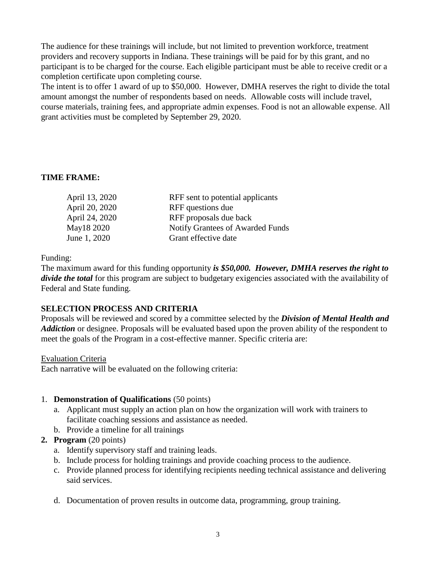The audience for these trainings will include, but not limited to prevention workforce, treatment providers and recovery supports in Indiana. These trainings will be paid for by this grant, and no participant is to be charged for the course. Each eligible participant must be able to receive credit or a completion certificate upon completing course.

The intent is to offer 1 award of up to \$50,000. However, DMHA reserves the right to divide the total amount amongst the number of respondents based on needs. Allowable costs will include travel, course materials, training fees, and appropriate admin expenses. Food is not an allowable expense. All grant activities must be completed by September 29, 2020*.* 

### **TIME FRAME:**

| April 13, 2020 | RFF sent to potential applicants |
|----------------|----------------------------------|
| April 20, 2020 | RFF questions due                |
| April 24, 2020 | RFF proposals due back           |
| May18 2020     | Notify Grantees of Awarded Funds |
| June 1, 2020   | Grant effective date             |
|                |                                  |

Funding:

The maximum award for this funding opportunity *is \$50,000. However, DMHA reserves the right to divide the total* for this program are subject to budgetary exigencies associated with the availability of Federal and State funding.

### **SELECTION PROCESS AND CRITERIA**

Proposals will be reviewed and scored by a committee selected by the *Division of Mental Health and Addiction* or designee. Proposals will be evaluated based upon the proven ability of the respondent to meet the goals of the Program in a cost-effective manner. Specific criteria are:

Evaluation Criteria

Each narrative will be evaluated on the following criteria:

### 1. **Demonstration of Qualifications** (50 points)

- a. Applicant must supply an action plan on how the organization will work with trainers to facilitate coaching sessions and assistance as needed.
- b. Provide a timeline for all trainings
- **2. Program** (20 points)
	- a. Identify supervisory staff and training leads.
	- b. Include process for holding trainings and provide coaching process to the audience.
	- c. Provide planned process for identifying recipients needing technical assistance and delivering said services.
	- d. Documentation of proven results in outcome data, programming, group training.